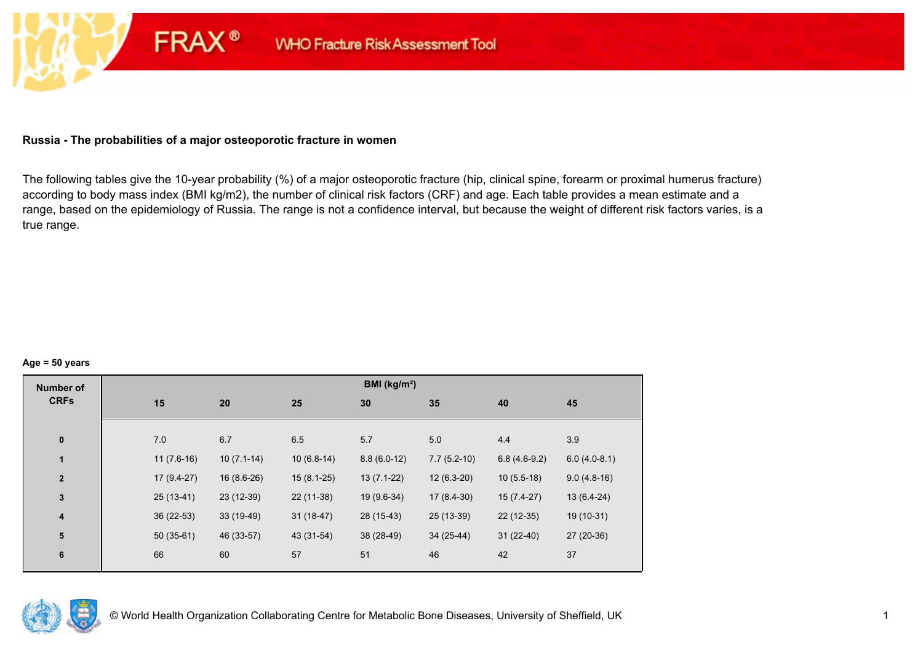## **Russia - The probabilities of a major osteoporotic fracture in women**

**FRAX®** 

The following tables give the 10-year probability (%) of a major osteoporotic fracture (hip, clinical spine, forearm or proximal humerus fracture) according to body mass index (BMI kg/m2), the number of clinical risk factors (CRF) and age. Each table provides a mean estimate and a range, based on the epidemiology of Russia. The range is not a confidence interval, but because the weight of different risk factors varies, is a true range.

#### **Age = 50 years**

| <b>Number of</b> |              |              |              | BMI (kg/m <sup>2</sup> ) |               |                |                |
|------------------|--------------|--------------|--------------|--------------------------|---------------|----------------|----------------|
| <b>CRFs</b>      | 15           | 20           | 25           | 30                       | 35            | 40             | 45             |
|                  |              |              |              |                          |               |                |                |
| $\pmb{0}$        | 7.0          | 6.7          | 6.5          | 5.7                      | 5.0           | 4.4            | 3.9            |
| 1                | $11(7.6-16)$ | $10(7.1-14)$ | $10(6.8-14)$ | $8.8(6.0-12)$            | $7.7(5.2-10)$ | $6.8(4.6-9.2)$ | $6.0(4.0-8.1)$ |
| $\mathbf{2}$     | $17(9.4-27)$ | $16(8.6-26)$ | $15(8.1-25)$ | $13(7.1-22)$             | $12(6.3-20)$  | $10(5.5-18)$   | $9.0(4.8-16)$  |
| $\mathbf{3}$     | $25(13-41)$  | 23 (12-39)   | 22 (11-38)   | 19 (9.6-34)              | $17(8.4-30)$  | $15(7.4-27)$   | $13(6.4-24)$   |
| $\boldsymbol{4}$ | $36(22-53)$  | $33(19-49)$  | $31(18-47)$  | 28 (15-43)               | 25 (13-39)    | $22(12-35)$    | 19 (10-31)     |
| 5                | $50(35-61)$  | 46 (33-57)   | 43 (31-54)   | 38 (28-49)               | 34 (25-44)    | $31(22-40)$    | 27 (20-36)     |
| $\bf 6$          | 66           | 60           | 57           | 51                       | 46            | 42             | 37             |
|                  |              |              |              |                          |               |                |                |

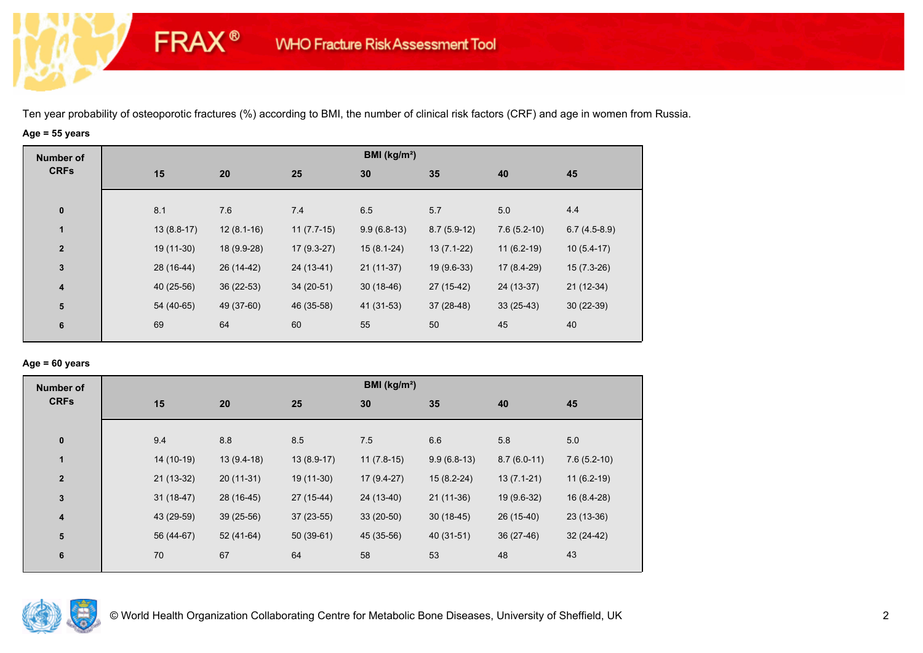# **Age = 55 years**

**FRAX®** 

| <b>Number of</b>        |              |              |              | BMI (kg/m <sup>2</sup> ) |               |               |                |
|-------------------------|--------------|--------------|--------------|--------------------------|---------------|---------------|----------------|
| <b>CRFs</b>             | 15           | 20           | 25           | 30                       | 35            | 40            | 45             |
| $\bf{0}$                | 8.1          | 7.6          | 7.4          | 6.5                      | 5.7           | 5.0           | 4.4            |
| 1                       | $13(8.8-17)$ | $12(8.1-16)$ | $11(7.7-15)$ | $9.9(6.8-13)$            | $8.7(5.9-12)$ | $7.6(5.2-10)$ | $6.7(4.5-8.9)$ |
| $\overline{2}$          | 19 (11-30)   | 18 (9.9-28)  | $17(9.3-27)$ | $15(8.1-24)$             | $13(7.1-22)$  | $11(6.2-19)$  | $10(5.4-17)$   |
| $\mathbf{3}$            | 28 (16-44)   | 26 (14-42)   | 24 (13-41)   | $21(11-37)$              | $19(9.6-33)$  | 17 (8.4-29)   | $15(7.3-26)$   |
| $\overline{\mathbf{4}}$ | 40 (25-56)   | $36(22-53)$  | $34(20-51)$  | $30(18-46)$              | 27 (15-42)    | 24 (13-37)    | $21(12-34)$    |
| ${\bf 5}$               | 54 (40-65)   | 49 (37-60)   | 46 (35-58)   | 41 (31-53)               | 37 (28-48)    | $33(25-43)$   | $30(22-39)$    |
| $\bf 6$                 | 69           | 64           | 60           | 55                       | 50            | 45            | 40             |

## **Age = 60 years**

| <b>Number of</b>        |             |              |              | BMI ( $kg/m2$ ) |               |               |               |
|-------------------------|-------------|--------------|--------------|-----------------|---------------|---------------|---------------|
| <b>CRFs</b>             | 15          | 20           | 25           | 30              | 35            | 40            | 45            |
| $\pmb{0}$               | 9.4         | 8.8          | 8.5          | 7.5             | 6.6           | 5.8           | 5.0           |
|                         |             |              |              |                 |               |               |               |
| $\mathbf{1}$            | 14 (10-19)  | $13(9.4-18)$ | $13(8.9-17)$ | $11(7.8-15)$    | $9.9(6.8-13)$ | $8.7(6.0-11)$ | $7.6(5.2-10)$ |
| $\overline{2}$          | $21(13-32)$ | $20(11-31)$  | 19 (11-30)   | $17(9.4-27)$    | $15(8.2-24)$  | $13(7.1-21)$  | $11(6.2-19)$  |
| $\mathbf{3}$            | $31(18-47)$ | 28 (16-45)   | 27 (15-44)   | 24 (13-40)      | $21(11-36)$   | 19 (9.6-32)   | 16 (8.4-28)   |
| $\overline{\mathbf{4}}$ | 43 (29-59)  | $39(25-56)$  | $37(23-55)$  | $33(20-50)$     | $30(18-45)$   | 26 (15-40)    | $23(13-36)$   |
| 5                       | 56 (44-67)  | 52 (41-64)   | $50(39-61)$  | 45 (35-56)      | 40 (31-51)    | $36(27-46)$   | $32(24-42)$   |
| $6\phantom{1}6$         | 70          | 67           | 64           | 58              | 53            | 48            | 43            |

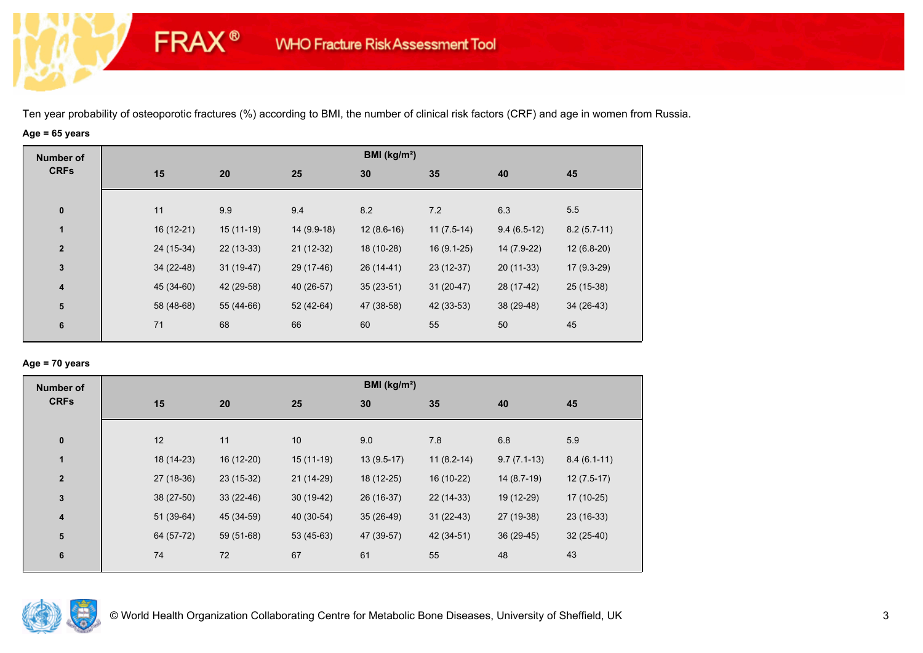# **Age = 65 years**

**FRAX®** 

| <b>Number of</b>        |    |                           |             | BMI (kg/m <sup>2</sup> ) |              |               |               |
|-------------------------|----|---------------------------|-------------|--------------------------|--------------|---------------|---------------|
| <b>CRFs</b>             | 15 | 20                        | 25          | 30                       | 35           | 40            | 45            |
| $\bf{0}$                | 11 | 9.9                       | 9.4         | 8.2                      | 7.2          | 6.3           | 5.5           |
| 1                       |    | 16 (12-21)<br>$15(11-19)$ | 14 (9.9-18) | $12(8.6-16)$             | $11(7.5-14)$ | $9.4(6.5-12)$ | $8.2(5.7-11)$ |
| $\overline{2}$          |    | 24 (15-34)<br>$22(13-33)$ | $21(12-32)$ | 18 (10-28)               | $16(9.1-25)$ | 14 (7.9-22)   | $12(6.8-20)$  |
| $\mathbf{3}$            |    | 34 (22-48)<br>$31(19-47)$ | 29 (17-46)  | 26 (14-41)               | 23 (12-37)   | $20(11-33)$   | $17(9.3-29)$  |
| $\overline{\mathbf{4}}$ |    | 45 (34-60)<br>42 (29-58)  | 40 (26-57)  | $35(23-51)$              | $31(20-47)$  | 28 (17-42)    | $25(15-38)$   |
| ${\bf 5}$               |    | 58 (48-68)<br>55 (44-66)  | 52 (42-64)  | 47 (38-58)               | 42 (33-53)   | 38 (29-48)    | $34(26-43)$   |
| $\bf 6$                 | 71 | 68                        | 66          | 60                       | 55           | 50            | 45            |

## **Age = 70 years**

| <b>Number of</b>        |             |             |                 | BMI (kg/m <sup>2</sup> ) |              |               |               |  |
|-------------------------|-------------|-------------|-----------------|--------------------------|--------------|---------------|---------------|--|
| <b>CRFs</b>             | 15          | 20          | 25              | 30                       | 35           | 40            | 45            |  |
| $\pmb{0}$               | 12          | 11          | 10 <sup>°</sup> | 9.0                      | 7.8          | 6.8           | 5.9           |  |
| $\mathbf{1}$            | 18 (14-23)  | 16 (12-20)  | $15(11-19)$     | $13(9.5-17)$             | $11(8.2-14)$ | $9.7(7.1-13)$ | $8.4(6.1-11)$ |  |
| $\mathbf{2}$            | 27 (18-36)  | 23 (15-32)  | 21 (14-29)      | 18 (12-25)               | 16 (10-22)   | $14(8.7-19)$  | $12(7.5-17)$  |  |
| $\mathbf 3$             | 38 (27-50)  | $33(22-46)$ | $30(19-42)$     | 26 (16-37)               | $22(14-33)$  | 19 (12-29)    | 17 (10-25)    |  |
| $\overline{\mathbf{4}}$ | $51(39-64)$ | 45 (34-59)  | 40 (30-54)      | $35(26-49)$              | $31(22-43)$  | 27 (19-38)    | $23(16-33)$   |  |
| 5                       | 64 (57-72)  | 59 (51-68)  | $53(45-63)$     | 47 (39-57)               | 42 (34-51)   | $36(29-45)$   | $32(25-40)$   |  |
| 6                       | 74          | 72          | 67              | 61                       | 55           | 48            | 43            |  |

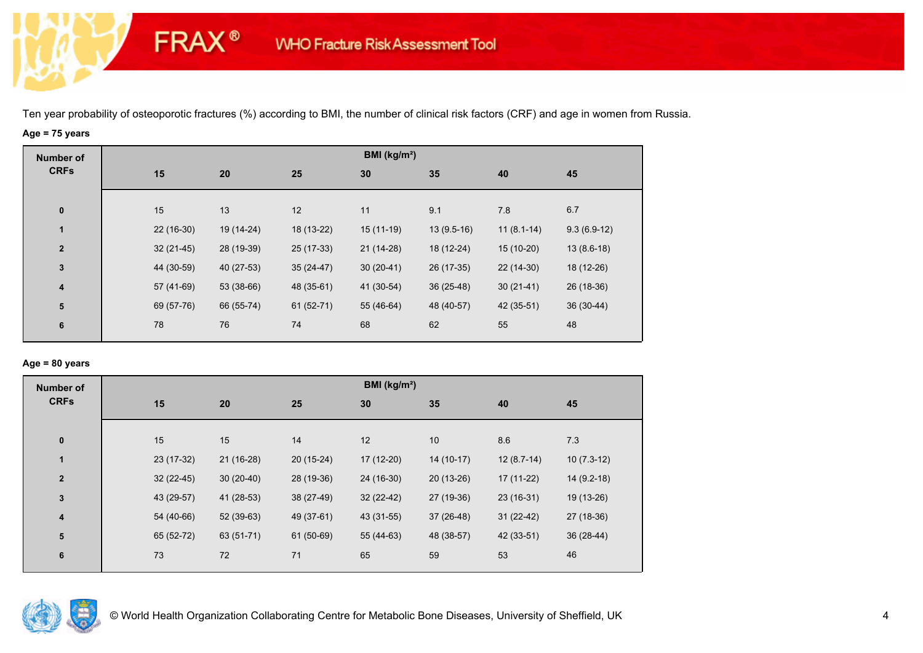# **Age = 75 years**

**FRAX®** 

| <b>Number of</b>        |             |            |             | BMI (kg/m <sup>2</sup> ) |              |              |               |
|-------------------------|-------------|------------|-------------|--------------------------|--------------|--------------|---------------|
| <b>CRFs</b>             | 15          | 20         | 25          | 30                       | 35           | 40           | 45            |
|                         |             |            |             |                          |              |              |               |
| $\bf{0}$                | 15          | 13         | 12          | 11                       | 9.1          | 7.8          | 6.7           |
| $\mathbf{1}$            | 22 (16-30)  | 19 (14-24) | 18 (13-22)  | $15(11-19)$              | $13(9.5-16)$ | $11(8.1-14)$ | $9.3(6.9-12)$ |
| $\overline{\mathbf{2}}$ | $32(21-45)$ | 28 (19-39) | 25 (17-33)  | $21(14-28)$              | 18 (12-24)   | 15 (10-20)   | $13(8.6-18)$  |
| $\mathbf{3}$            | 44 (30-59)  | 40 (27-53) | $35(24-47)$ | $30(20-41)$              | 26 (17-35)   | 22 (14-30)   | 18 (12-26)    |
| 4                       | 57 (41-69)  | 53 (38-66) | 48 (35-61)  | 41 (30-54)               | $36(25-48)$  | $30(21-41)$  | 26 (18-36)    |
| ${\bf 5}$               | 69 (57-76)  | 66 (55-74) | $61(52-71)$ | 55 (46-64)               | 48 (40-57)   | 42 (35-51)   | $36(30-44)$   |
| 6                       | 78          | 76         | 74          | 68                       | 62           | 55           | 48            |
|                         |             |            |             |                          |              |              |               |

## **Age = 80 years**

| <b>Number of</b> |    |                            |             |    | BMI (kg/m <sup>2</sup> )  |              |              |  |
|------------------|----|----------------------------|-------------|----|---------------------------|--------------|--------------|--|
| <b>CRFs</b>      | 15 | 20                         | 25          | 30 | 35                        | 40           | 45           |  |
|                  |    |                            |             |    |                           |              |              |  |
| $\pmb{0}$        | 15 | 15                         | 14          | 12 | 10 <sup>1</sup>           | 8.6          | 7.3          |  |
| 1                |    | 23 (17-32)<br>$21(16-28)$  | $20(15-24)$ |    | 17 (12-20)<br>$14(10-17)$ | $12(8.7-14)$ | $10(7.3-12)$ |  |
| $\mathbf{2}$     |    | $32(22-45)$<br>$30(20-40)$ | 28 (19-36)  |    | 24 (16-30)<br>$20(13-26)$ | $17(11-22)$  | $14(9.2-18)$ |  |
| 3                |    | 43 (29-57)<br>41 (28-53)   | 38 (27-49)  |    | 27 (19-36)<br>$32(22-42)$ | $23(16-31)$  | 19 (13-26)   |  |
| 4                |    | 54 (40-66)<br>52 (39-63)   | 49 (37-61)  |    | 37 (26-48)<br>43 (31-55)  | $31(22-42)$  | 27 (18-36)   |  |
| ${\bf 5}$        |    | 65 (52-72)<br>63 (51-71)   | 61 (50-69)  |    | 48 (38-57)<br>55 (44-63)  | 42 (33-51)   | 36 (28-44)   |  |
| 6                | 73 | 72                         | 71          | 65 | 59                        | 53           | 46           |  |
|                  |    |                            |             |    |                           |              |              |  |